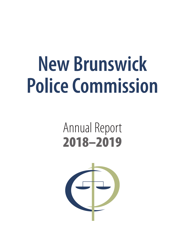# **New Brunswick Police Commission**

## Annual Report 2018–2019

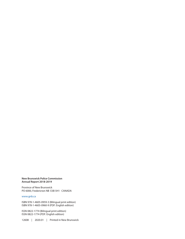#### **New Brunswick Police Commission Annual Report 2018-2019**

Province of New Brunswick PO 6000, Fredericton NB E3B 5H1 CANADA

#### [www.gnb.ca](http://www.gnb.ca)

ISBN 978-1-4605-0959-3 (Bilingual print edition) ISBN 978-1-4605-0960-9 (PDF: English edition)

ISSN 0822-1774 (Bilingual print edition) ISSN 0822-1774 (PDF: English edition)

12608 | 2020.01 | Printed in New Brunswick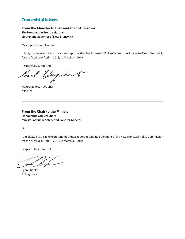#### Transmittal letters

#### **From the Minister to the Lieutenant-Governor**

**The Honourable Brenda Murphy Lieutenant-Governor of New Brunswick**

May it please your Honour:

It is my privilege to submit the annual report of the New Brunswick Police Commission, Province of New Brunswick, for the fiscal year April 1, 2018, to March 31, 2019.

Respectfully submitted,

loal yuguhart

Honourable Carl Urquhart Minister

**From the Chair to the Minister Honourable Carl Urquhart Minister of Public Safety and Solicitor General**

Sir:

I am pleased to be able to present the annual report describing operations of the New Brunswick Police Commission for the fiscal year April 1, 2018, to March 31, 2019.

Respectfully submitted,

lich

Lynn Chaplin Acting Chair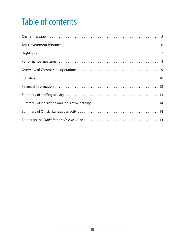### Table of contents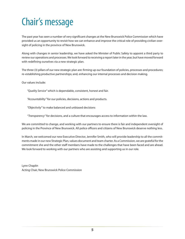### <span id="page-6-0"></span>Chair's message

The past year has seen a number of very significant changes at the New Brunswick Police Commission which have provided us an opportunity to revisit how we can enhance and improve the critical role of providing civilian oversight of policing in the province of New Brunswick.

Along with changes in senior leadership, we have asked the Minister of Public Safety to appoint a third party to review our operations and processes. We look forward to receiving a report later in the year, but have moved forward with redefining ourselves via a new strategic plan.

The three (3) pillars of our new strategic plan are: firming up our foundation of policies, processes and procedures; re-establishing productive partnerships; and, enhancing our internal processes and decision making.

Our values include:

*"Quality Service"* which is dependable, consistent, honest and fair.

*"Accountability"* for our policies, decisions, actions and products.

*"Objectivity"* to make balanced and unbiased decisions

*"Transparency"* for decisions, and a culture that encourages access to information within the law.

We are committed to change, and working with our partners to ensure there is fair and independent oversight of policing in the Province of New Brunswick. All police officers and citizens of New Brunswick deserve nothing less.

In March, we welcomed our new Executive Director, Jennifer Smith, who will provide leadership to all the commitments made in our new Strategic Plan, values document and team charter. As a Commission, we are grateful for the commitment she and the other staff members have made to the challenges that have been faced and are ahead. We look forward to working with our partners who are assisting and supporting us in our role.

Lynn Chaplin Acting Chair, New Brunswick Police Commission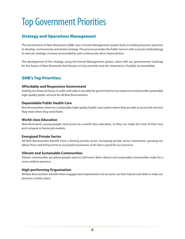### <span id="page-7-0"></span>Top Government Priorities

#### Strategy and Operations Management

The Government of New Brunswick (GNB) uses a Formal Management system built on leading business practices to develop, communicate and review strategy. This process provides the Public Service with a proven methodology to execute strategy, increase accountability and continuously drive improvement.

The development of the strategy, using the Formal Management system, starts with our governments roadmap for the future of New Brunswick that focuses on key priorities and the importance of public accountability.

#### GNB's Top Priorities:

#### **Affordable and Responsive Government**

Getting our financial house in order will make it possible for government to be responsive and provide sustainable high-quality public services for all New Brunswickers.

#### **Dependable Public Health Care**

New Brunswickers deserve a sustainable, high-quality health-care system where they are able to access the services they need when they need them.

#### **World-class Education**

New Brunswick's young people need access to a world-class education, so they can make the most of their lives and compete in future job markets.

#### **Energized Private Sector**

All New Brunswickers benefit from a thriving private sector. Increasing private sector investment, growing our labour force and being home to successful businesses of all sizes is good for our province.

#### **Vibrant and Sustainable Communities**

Vibrant communities are places people want to call home. More vibrant and sustainable communities make for a more resilient province.

#### **High-performing Organization**

All New Brunswickers benefit when engaged and empowered civil servants use their talents and skills to make our province a better place.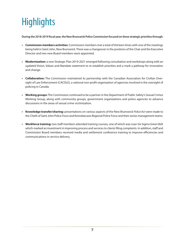### <span id="page-8-0"></span>**Highlights**

**During the 2018-2019 fiscal year, the New Brunswick Police Commission focused on these strategic priorities through:**

- **• Commission members activities:** Commission members met a total of thirteen times with one of the meetings being held in Saint John, New Brunswick. There was a changeover in the positions of the Chair and the Executive Director and two new Board members were appointed.
- **• Modernization:** a new Strategic Plan 2019-2021 emerged following consultation and workshops along with an updated Vision, Values and Mandate statement to re-establish priorities and a mark a pathway for innovation and change.
- **• Collaboration:** The Commission maintained its partnership with the Canadian Association for Civilian Oversight of Law Enforcement (CACOLE), a national non-profit organization of agencies involved in the oversight of policing in Canada.
- **• Working groups:** The Commission continued to be a partner in the Department of Public Safety's Sexual Crimes Working Group, along with community groups, government organizations and police agencies to advance discussions in the areas of sexual crime victimization.
- **• Knowledge transfer/sharing:** presentations on various aspects of the New Brunswick *Police Act* were made to the Chiefs of Saint John Police Force and Kennebecasis Regional Police Force and their senior management teams.
- **• Workforce training:** two staff members attended training courses, one of which was Lean Six Sigma Green Belt which marked an investment in improving process and services to clients filing complaints. In addition, staff and Commission Board members received media and settlement conference training to improve efficiencies and communications in service delivery.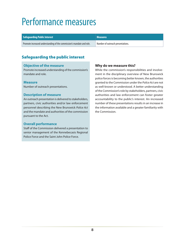### <span id="page-9-0"></span>Performance measures

| <b>Safeguarding Public Interest</b> | Measures |
|-------------------------------------|----------|
|-------------------------------------|----------|

Promote increased understanding of the commission's mandate and role. Number of outreach presentations.

#### Safeguarding the public interest

#### **Objective of the measure**

Promote increased understanding of the commission's mandate and role.

#### **Measure**

Number of outreach presentations.

#### **Description of measure**

An outreach presentation is delivered to stakeholders, partners, civic authorities and/or law enforcement personnel describing the New Brunswick *Police Act* and the mandate and authorities of the commission pursuant to the Act.

#### **Overall performance**

Staff of the Commission delivered a presentation to senior management of the Kennebecasis Regional Police Force and the Saint John Police Force.

#### **Why do we measure this?**

While the commission's responsibilities and involvement in the disciplinary overview of New Brunswick police forces is becoming better known, the authorities granted to the Commission under the *Police Act* are not as well-known or understood. A better understanding of the Commission's role by stakeholders, partners, civic authorities and law enforcement can foster greater accountability to the public's interest. An increased number of these presentations results in an increase in the information available and a greater familiarity with the Commission.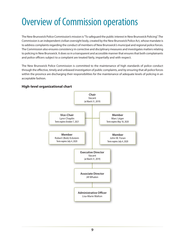### <span id="page-10-0"></span>Overview of Commission operations

The New Brunswick Police Commission's mission is "To safeguard the public interest in New Brunswick Policing". The Commission is an independent civilian oversight body, created by the New Brunswick Police Act, whose mandate is to address complaints regarding the conduct of members of New Brunswick's municipal and regional police forces. The Commission also ensures consistency in corrective and disciplinary measures and investigates matters relating to policing in New Brunswick. It does so in a transparent and accessible manner that ensures that both complainants and police officers subject to a complaint are treated fairly, impartially and with respect.

The New Brunswick Police Commission is committed to the maintenance of high standards of police conduct through the effective, timely and unbiased investigation of public complaints, and by ensuring that all police forces within the province are discharging their responsibilities for the maintenance of adequate levels of policing in an acceptable fashion.

### **Chair** Vacant (at March 31, 2019) **Vice-Chair** Lynn Chaplin Term expires October 7, 2021 **Member** Marc Léger Term expires May 18, 2020 **Executive Director** Vacant (at March 31, 2019) **Member** Robert (Bob) Eckstein Term expires July 4, 2020 **Member** John W. Foran Term expires July 4, 2020 **Associate Director** Jill Whalen **Administrative Officer** Lisa-Marie Walton

#### **High-level organizational chart**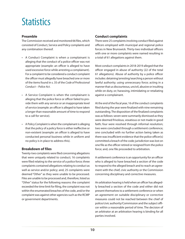### <span id="page-11-0"></span>**Statistics**

#### **Preamble**

The Commission received and monitored 66 files, which consisted of Conduct, Service and Policy complaints and any combination thereof.

- A Conduct Complaint is when a complainant is alleging that the conduct of a police officer was not appropriate (example: an officer is alleged to have used excessive force while arresting a complainant). For a complaint to be considered a conduct complaint the officer must allegedly have breached one or more of the items found in s. 35 of the *Code of Professional Conduct – Police Act*.
- A Service Complaint is when the complainant is alleging that the police force or officer failed to provide them with any service or an inappropriate level of service (example: an officer is alleged to have taken a longer than reasonable amount of time to respond to a call for service).
- A Policy Complaint is when the complainant is alleging that the policy of a policy force is either ineffective or non-existent (example: an officer is alleged to have conducted personal business while in uniform and no policy is in place to address this).

#### **Breakdown of files**

Twenty-two complaints were filed concerning allegations that were uniquely related to conduct; 16 complaints were filed relating to the service of a police force; three complaints contained allegations relating to conduct as well as service and/or policy; and, 25 complaints were deemed "Other" as they were unable to be processed. Files are unable to be processed and, therefore, listed as "Other" status for the following reasons: the complaint exceeded the time limit for filing, the complaint was not within the enumerated breaches of the code, and/or the complaint was against other agencies such as the RCMP or government departments.

#### **Conduct complaints**

There were 25 complaints involving conduct filed against officers employed with municipal and regional police forces in New Brunswick. Thirty-two individual officers with one or more complaints were named resulting in a total of 61 allegations against them.

Most conduct complaints in 2018-2019 alleged that the officer engaged in abuse of authority (22 of the total 61 allegations). Abuse of authority by a police officer includes: detaining/arresting/searching a person without lawful authority; using unnecessary force; acting in a manner that us discourteous, uncivil, abusive or insulting while on duty, or; harassing, intimidating or retaliating against a complainant.

At the end of the fiscal year, 16 of the conduct complaints filed during the year were finalized with nine remaining outstanding. The disposition of the finalized complaints was as follows: seven were summarily dismissed as they were deemed frivolous, vexatious or not made in good faith; four were resolved through informal resolution; two were concluded through a settlement conference; one concluded with no further action being taken as there was insufficient evidence that the police officer(s) committed a breach of the code; jurisdiction was lost on one file as the officer retired or resigned from the police force; and, one file proceeded to arbitration.

A settlement conference is an opportunity for an officer who is alleged to have breached a section of the code to respond to the alleged breach and to reach an agreement with the chief, civic authority or the Commission concerning disciplinary and corrective measures.

An arbitration hearing is held when an officer has allegedly breached a section of the code and either did not present themselves to a settlement conference or when an agreement on suitable disciplinary or corrective measures could not be reached between the chief of police/civic authority/Commission and the subject officer within a reasonable period of time. The decision of an arbitrator at an arbitration hearing is binding for all parties involved.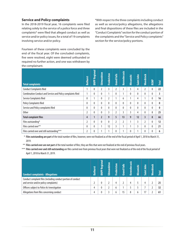#### **Service and Policy complaints**

In the 2018-2019 fiscal year, 16 complaints were filed relating solely to the service of a police force and three complaints\* were filed that alleged conduct as well as service and/or policy issues, for a total of 19 complaints involving service and/or policy.

Fourteen of these complaints were concluded by the end of the fiscal year. Of the concluded complaints, five were resolved, eight were deemed unfounded or required no further action, and one was withdrawn by the complainant.

\*With respect to the three complaints including conduct as well as service/policy allegations, the allegations and final dispositions of these files are included in the "Conduct Complaints" section for the conduct portion of the complaints and the "Service and Policy complaints" section for the service/policy portions.

| <b>Total complaints</b>                                     | <b>Bathurst</b> | <b>BNPP Regional</b> | Edmundston     | Fredericton    | <b>Grand Falls</b> | Kennebecasis   | Miramichi | Saint John | <b>Woodstock</b> | <b>RCMP</b>  | Total |
|-------------------------------------------------------------|-----------------|----------------------|----------------|----------------|--------------------|----------------|-----------|------------|------------------|--------------|-------|
| <b>Conduct Complaints filed</b>                             | 1               | 0                    | 2              | 3              | $\overline{2}$     | 3              | 5         | 4          | $\overline{2}$   | $\mathbf{0}$ | 22    |
| Combination Conduct and Service and Policy complaints filed | 1               | 0                    | 0              |                | 0                  |                | $\theta$  | 0          | $\theta$         | $\mathbf{0}$ | 3     |
| Service Complaints filed                                    | $\mathbf{0}$    | 1                    | 0              | $\overline{2}$ | 1                  | 6              | 1         | 4          |                  | $\theta$     | 16    |
| Policy Complaints filed                                     | 0               | 0                    | 0              | $\theta$       | $\theta$           | $\mathbf{0}$   | $\theta$  | 0          | $\theta$         | $\mathbf{0}$ | 0     |
| Service and Policy complaints filed                         | 0               | 0                    | 0              | $\mathbf{0}$   | $\mathbf{0}$       | 0              | $\theta$  | 0          | $\theta$         | $\mathbf{0}$ | 0     |
| <b>Other</b>                                                | $\overline{2}$  | 0                    | 0              | 3              | $\overline{2}$     | 3              | 3         | 4          | $\theta$         | 8            | 25    |
| <b>Total complaint files</b>                                | 4               | $\mathbf{1}$         | $\overline{2}$ | 9              | 5                  | 13             | 9         | 12         | $\overline{3}$   | 8            | 66    |
| Files outstanding*                                          | 2               | 0                    | 0              | $\theta$       | $\overline{2}$     | $\overline{2}$ | 1         | 3          | 2                | $\mathbf{0}$ | 12    |
| Files carried over**                                        | $\mathbf{0}$    | 0                    |                | 12             | 3                  |                | 1         | 3          | $\Omega$         | $\theta$     | 21    |
| Files carried over and still outstanding***                 | 2               | 0                    |                | ٠              | 0                  |                | $\theta$  |            | $\theta$         | $\mathbf{0}$ | 6     |

\* **Files outstanding are part** of the total number of files, however, were not finalized as of the end of the fiscal period of April 1, 2018 to March 31, 2019.

\*\* **Files carried over are not part** of the total number of files; they are files that were not finalized at the end of previous fiscal years.

\*\*\* **Files carried over and still outstanding** are files carried over from previous fiscal years that were not finalized as of the end of the fiscal period of April 1, 2018 to March 31, 2019.

| <b>Conduct complaints - Allegations</b>                                                                | <b>Bathurst</b> | <b>BNPP Regional</b> | Edmundston | <b>Fredericton</b> | <b>Grand Falls</b> | Kennebecasis | Miramichi | <b>John</b><br>Saint. | <b>Moodstock</b> | <b>Total</b> |
|--------------------------------------------------------------------------------------------------------|-----------------|----------------------|------------|--------------------|--------------------|--------------|-----------|-----------------------|------------------|--------------|
| Conduct complaint files (including conduct portion of conduct<br>and service and/or policy complaints) |                 |                      |            |                    |                    |              |           |                       |                  | 25           |
| Officers subject to Police Act investigation                                                           |                 |                      |            | h                  |                    |              |           |                       |                  | 32           |
| Allegations from files concerning conduct                                                              |                 |                      |            | h                  | 15                 | 8            |           |                       |                  | 61           |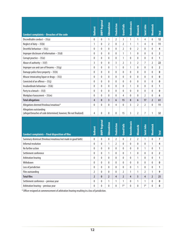|                                                                                               | <b>Bathurst</b> | <b>BNPP Regional</b> | Edmundston        | <b>Fredericton</b> | <b>Grand Falls</b> | Kennebecasis   | Miramichi      | Saint John     | <b>Woodstock</b> | <b>Total</b>   |
|-----------------------------------------------------------------------------------------------|-----------------|----------------------|-------------------|--------------------|--------------------|----------------|----------------|----------------|------------------|----------------|
| <b>Conduct complaints - Breaches of the code</b>                                              |                 |                      |                   |                    |                    |                |                |                |                  |                |
| Discreditable conduct $-35(a)$                                                                | $\pmb{0}$       | 0                    | $\mathbf{1}$      | $\overline{2}$     | $\overline{3}$     | $\mathbf{1}$   | $\mathbf{1}$   | 4              | 0                | 12             |
| Neglect of duty $-35(b)$                                                                      | 1               | 0                    | 2                 | $\mathbf{0}$       | 2                  | 1              | 1              | 4              | 0                | 11             |
| Deceitful behaviour $-35(c)$                                                                  | $\pmb{0}$       | 0                    | $\mathbf{0}$      | $\mathbf{0}$       | $\overline{2}$     | 0              | $\overline{2}$ | $\mathbf{0}$   | 0                | 4              |
| Improper disclosure of information $-35(d)$                                                   | 0               | 0                    | 0                 | $\mathbf{0}$       | 1                  | 1              | $\mathbf{0}$   | $\mathbf{0}$   | 0                | 2              |
| Corrupt practice - 35(e)                                                                      | $\pmb{0}$       | 0                    | 0                 | $\mathbf{0}$       | 1                  | 0              | $\mathbf{0}$   | 0              | 0                | 1              |
| Abuse of authority $-35(f)$                                                                   | 3               | 0                    | 0                 | $\overline{3}$     | $\overline{2}$     | 3              | $\overline{2}$ | $\overline{7}$ | 2                | 22             |
| Improper use and care of firearms $-35(g)$                                                    | $\bf{0}$        | 0                    | 0                 | 1                  | $\mathbf{0}$       | 1              | 0              | 0              | $\theta$         | $\overline{2}$ |
| Damage police force property $-35(h)$                                                         | 0               | 0                    | 0                 | $\mathbf{0}$       | $\theta$           | $\mathbf{0}$   | $\mathbf{0}$   | $\mathbf{0}$   | 0                | 0              |
| Misuse intoxicating liquor or drugs $-35(i)$                                                  | 0               | 0                    | 0                 | $\mathbf{0}$       | 0                  | 0              | $\mathbf{0}$   | 0              | 0                | 0              |
| Convicted of an offence $-35(j)$                                                              | $\pmb{0}$       | 0                    | 0                 | $\mathbf{0}$       | $\mathbf{0}$       | $\mathbf{0}$   | $\mathbf{0}$   | 0              | 0                | 0              |
| Insubordinate behaviour $-35(k)$                                                              | 0               | 0                    | 0                 | $\mathbf{0}$       | 0                  | 1              | $\mathbf{0}$   | $\mathbf{0}$   | 0                | 1              |
| Party to a breach - 35(I)                                                                     | 0               | 0                    | 0                 | $\mathbf{0}$       | $\theta$           | 0              | $\mathbf{0}$   | $\theta$       | 0                | 0              |
| Workplace harassment $-35(m)$                                                                 | 0               | 0                    | 0                 | $\mathbf{0}$       | 4                  | $\mathbf{0}$   | $\mathbf{0}$   | $\overline{2}$ | 0                | 6              |
| <b>Total allegations</b>                                                                      | 4               | $\bf{0}$             | 3                 | 6                  | 15                 | 8              | 6              | 17             | 2                | 61             |
| Allegations deemed frivolous/vexatious*                                                       | 0               | 0                    | 0                 | 4                  | 0                  | 3              | $\overline{2}$ | $\overline{2}$ | 0                | 11             |
| Allegations outstanding<br>(alleged breaches of code determined; however, file not finalized) | 4               | 0                    | 0                 | $\mathbf{0}$       | 15                 | 3              | $\overline{2}$ | 7              | 1                | 32             |
| <b>Conduct complaints - Final disposition of files</b>                                        | <b>Bathurst</b> | <b>BNPP Regional</b> | <b>Edmundston</b> | Fredericton        | <b>Grand Falls</b> | Kennebecasis   | Miramichi      | Saint John     | <b>Woodstock</b> | <b>Total</b>   |
| Summary dismissal (frivolous/vexatious/not made in good faith)                                | 0               | 0                    | 0                 | $\overline{2}$     | $\mathbf{0}$       | 2              | $\overline{2}$ | 1              | 0                | 7              |
| Informal resolution                                                                           | 0               | 0                    | 1                 | 2                  | 0                  | 0              | $\mathbf{0}$   | 0              | 1                | 4              |
| No further action                                                                             | $\pmb{0}$       | 0                    | 0                 | $\mathbf{0}$       | 0                  | 0              | $\mathbf{0}$   | 1              | 0                | 1              |
| Settlement conference                                                                         | $\pmb{0}$       | 0                    | 1                 | $\mathbf 0$        | 0                  | 1              | $\mathbf 0$    | 0              | 0                | $\overline{2}$ |
| Arbitration hearing                                                                           | $\pmb{0}$       | 0                    | 0                 | $\pmb{0}$          | $\mathbf{0}$       | 0              | 1              | 0              | 0                | 1              |
| Withdrawn                                                                                     | $\pmb{0}$       | 0                    | 0                 | $\pmb{0}$          | $\mathbf{0}$       | $\mathbf{0}$   | $\pmb{0}$      | $\mathbf{0}$   | 0                | $\pmb{0}$      |
| Loss of jurisdiction                                                                          | 0               | 0                    | 0                 | $\mathbf 0$        | 0                  | 0              | 1              | 0              | 0                | 1              |
| Files outstanding                                                                             | $\overline{2}$  | 0                    | 0                 | $\pmb{0}$          | 2                  | 1              | 1              | $\overline{2}$ | 1                | 9              |
| <b>Total files</b>                                                                            | $\overline{2}$  | $\mathbf{0}$         | $\overline{2}$    | $\overline{4}$     | $\overline{2}$     | $\overline{4}$ | 5              | $\overline{4}$ | $\overline{2}$   | 25             |
| Settlement conference - previous year                                                         | $\pmb{0}$       | 0                    | 1                 | 1                  | 1                  | 0              | 1              | 1              | 0                | 0              |
| Arbitration hearing - previous year                                                           | 0               | 0                    | $\pmb{0}$         | $\pmb{0}$          | $1*$               | 0              | $\pmb{0}$      | $1*$           | 0                | 0              |

\* Officer resigned at commencement of arbitration hearing resulting in a loss of jurisdiction.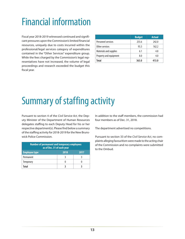### <span id="page-14-0"></span>Financial information

Fiscal year 2018-2019 witnessed continued and significant pressures upon the Commission's limited financial resources, uniquely due to costs incurred within the professional/legal services category of expenditures contained in the "Other Services" expenditure group. While the fees charged by the Commission's legal representatives have not increased, the volume of legal proceedings and research exceeded the budget this fiscal year.

|                        | <b>Budget</b> | <b>Actual</b> |
|------------------------|---------------|---------------|
| Personnel services     | 255.6         | 242.0         |
| Other services         | 93.3          | 162.2         |
| Materials and supplies | 6.1           | 4.8           |
| Property and equipment | 8.0           | 4.0           |
| Total                  | 363.0         | 413.0         |

### Summary of staffing activity

Pursuant to section 4 of the *Civil Service Act*, the Deputy Minister of the Department of Human Resources delegates staffing to each Deputy Head for his or her respective department(s). Please find below a summary of the staffing activity for 2018-2019 for the New Brunswick Police Commission.

| <b>Number of permanent and temporary employees</b><br>as of Dec. 31 of each year |      |      |  |  |  |  |  |
|----------------------------------------------------------------------------------|------|------|--|--|--|--|--|
| <b>Employee type</b>                                                             | 2018 | 2017 |  |  |  |  |  |
| Permanent                                                                        |      |      |  |  |  |  |  |
| <b>Temporary</b>                                                                 |      |      |  |  |  |  |  |
| Total                                                                            |      |      |  |  |  |  |  |

In addition to the staff members, the commission had four members as of Dec. 31, 2018.

The department advertised no competitions.

Pursuant to section 33 of the *Civil Service Act*, no complaints alleging favouritism were made to the acting chair of the Commission and no complaints were submitted to the Ombud.